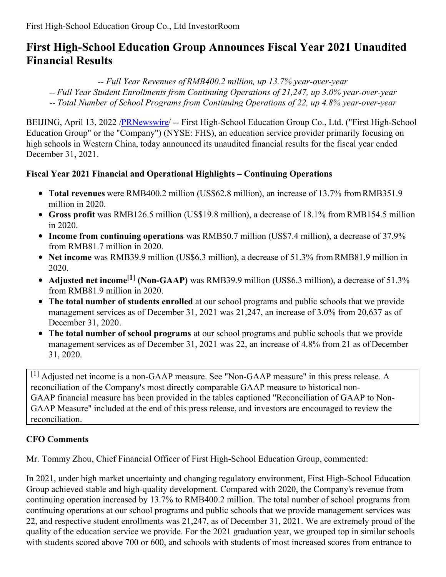# **First High-School Education Group Announces Fiscal Year 2021 Unaudited Financial Results**

*-- Full Year Revenues of RMB400.2 million, up 13.7% year-over-year*

- *-- Full Year Student Enrollments from Continuing Operations of 21,247, up 3.0% year-over-year*
- *-- Total Number of School Programs from Continuing Operations of 22, up 4.8% year-over-year*

BEIJING, April 13, 2022 /[PRNewswire](http://www.prnewswire.com/)/ -- First High-School Education Group Co., Ltd. ("First High-School Education Group" or the "Company") (NYSE: FHS), an education service provider primarily focusing on high schools in Western China, today announced its unaudited financial results for the fiscal year ended December 31, 2021.

## **Fiscal Year 2021 Financial and Operational Highlights – Continuing Operations**

- **Total revenues** were RMB400.2 million (US\$62.8 million), an increase of 13.7% from RMB351.9 million in 2020.
- **Gross profit** was RMB126.5 million (US\$19.8 million), a decrease of 18.1% from RMB154.5 million in 2020.
- **Income from continuing operations** was RMB50.7 million (US\$7.4 million), a decrease of 37.9% from RMB81.7 million in 2020.
- **Net income** was RMB39.9 million (US\$6.3 million), a decrease of 51.3% from RMB81.9 million in 2020.
- **Adjusted net income [1] (Non-GAAP)** was RMB39.9 million (US\$6.3 million), a decrease of 51.3% from RMB81.9 million in 2020.
- **The total number of students enrolled** at our school programs and public schools that we provide management services as of December 31, 2021 was 21,247, an increase of 3.0% from 20,637 as of December 31, 2020.
- **The total number of school programs** at our school programs and public schools that we provide management services as of December 31, 2021 was 22, an increase of 4.8% from 21 as of December 31, 2020.

[1] Adjusted net income is a non-GAAP measure. See "Non-GAAP measure" in this press release. A reconciliation of the Company's most directly comparable GAAP measure to historical non-GAAP financial measure has been provided in the tables captioned "Reconciliation of GAAP to Non-GAAP Measure" included at the end of this press release, and investors are encouraged to review the reconciliation.

# **CFO Comments**

Mr. Tommy Zhou, Chief Financial Officer of First High-School Education Group, commented:

In 2021, under high market uncertainty and changing regulatory environment, First High-School Education Group achieved stable and high-quality development. Compared with 2020, the Company's revenue from continuing operation increased by 13.7% to RMB400.2 million. The total number of school programs from continuing operations at our school programs and public schools that we provide management services was 22, and respective student enrollments was 21,247, as of December 31, 2021. We are extremely proud of the quality of the education service we provide. For the 2021 graduation year, we grouped top in similar schools with students scored above 700 or 600, and schools with students of most increased scores from entrance to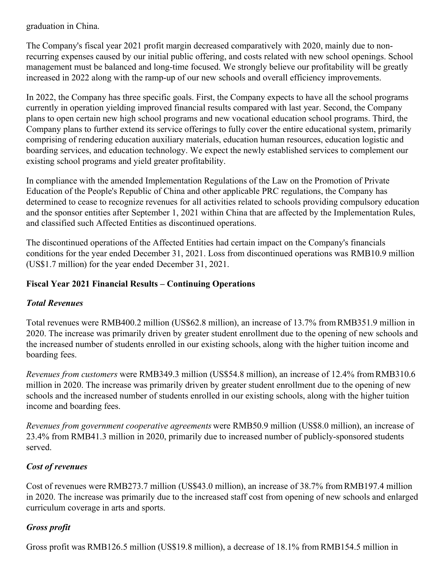graduation in China.

The Company's fiscal year 2021 profit margin decreased comparatively with 2020, mainly due to nonrecurring expenses caused by our initial public offering, and costs related with new school openings. School management must be balanced and long-time focused. We strongly believe our profitability will be greatly increased in 2022 along with the ramp-up of our new schools and overall efficiency improvements.

In 2022, the Company has three specific goals. First, the Company expects to have all the school programs currently in operation yielding improved financial results compared with last year. Second, the Company plans to open certain new high school programs and new vocational education school programs. Third, the Company plans to further extend its service offerings to fully cover the entire educational system, primarily comprising of rendering education auxiliary materials, education human resources, education logistic and boarding services, and education technology. We expect the newly established services to complement our existing school programs and yield greater profitability.

In compliance with the amended Implementation Regulations of the Law on the Promotion of Private Education of the People's Republic of China and other applicable PRC regulations, the Company has determined to cease to recognize revenues for all activities related to schools providing compulsory education and the sponsor entities after September 1, 2021 within China that are affected by the Implementation Rules, and classified such Affected Entities as discontinued operations.

The discontinued operations of the Affected Entities had certain impact on the Company's financials conditions for the year ended December 31, 2021. Loss from discontinued operations was RMB10.9 million (US\$1.7 million) for the year ended December 31, 2021.

#### **Fiscal Year 2021 Financial Results – Continuing Operations**

#### *Total Revenues*

Total revenues were RMB400.2 million (US\$62.8 million), an increase of 13.7% from RMB351.9 million in 2020. The increase was primarily driven by greater student enrollment due to the opening of new schools and the increased number of students enrolled in our existing schools, along with the higher tuition income and boarding fees.

*Revenues from customers* were RMB349.3 million (US\$54.8 million), an increase of 12.4% from RMB310.6 million in 2020. The increase was primarily driven by greater student enrollment due to the opening of new schools and the increased number of students enrolled in our existing schools, along with the higher tuition income and boarding fees.

*Revenues from government cooperative agreements* were RMB50.9 million (US\$8.0 million), an increase of 23.4% from RMB41.3 million in 2020, primarily due to increased number of publicly-sponsored students served.

#### *Cost of revenues*

Cost of revenues were RMB273.7 million (US\$43.0 million), an increase of 38.7% from RMB197.4 million in 2020. The increase was primarily due to the increased staff cost from opening of new schools and enlarged curriculum coverage in arts and sports.

#### *Gross profit*

Gross profit was RMB126.5 million (US\$19.8 million), a decrease of 18.1% from RMB154.5 million in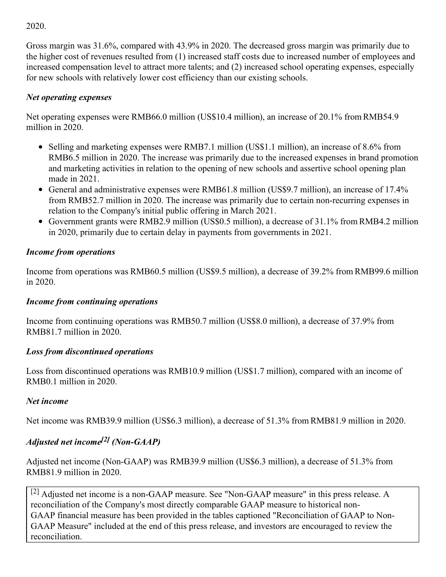2020.

Gross margin was 31.6%, compared with 43.9% in 2020. The decreased gross margin was primarily due to the higher cost of revenues resulted from (1) increased staff costs due to increased number of employees and increased compensation level to attract more talents; and (2) increased school operating expenses, especially for new schools with relatively lower cost efficiency than our existing schools.

## *Net operating expenses*

Net operating expenses were RMB66.0 million (US\$10.4 million), an increase of 20.1% from RMB54.9 million in 2020.

- Selling and marketing expenses were RMB7.1 million (US\$1.1 million), an increase of 8.6% from RMB6.5 million in 2020. The increase was primarily due to the increased expenses in brand promotion and marketing activities in relation to the opening of new schools and assertive school opening plan made in 2021.
- General and administrative expenses were RMB61.8 million (US\$9.7 million), an increase of 17.4% from RMB52.7 million in 2020. The increase was primarily due to certain non-recurring expenses in relation to the Company's initial public offering in March 2021.
- Government grants were RMB2.9 million (US\$0.5 million), a decrease of 31.1% from RMB4.2 million in 2020, primarily due to certain delay in payments from governments in 2021.

## *Income from operations*

Income from operations was RMB60.5 million (US\$9.5 million), a decrease of 39.2% from RMB99.6 million in 2020.

#### *Income from continuing operations*

Income from continuing operations was RMB50.7 million (US\$8.0 million), a decrease of 37.9% from RMB81.7 million in 2020.

#### *Loss from discontinued operations*

Loss from discontinued operations was RMB10.9 million (US\$1.7 million), compared with an income of RMB0.1 million in 2020.

#### *Net income*

Net income was RMB39.9 million (US\$6.3 million), a decrease of 51.3% from RMB81.9 million in 2020.

## *Adjusted net income [2] (Non-GAAP)*

Adjusted net income (Non-GAAP) was RMB39.9 million (US\$6.3 million), a decrease of 51.3% from RMB81.9 million in 2020.

 $^{[2]}$  Adjusted net income is a non-GAAP measure. See "Non-GAAP measure" in this press release. A reconciliation of the Company's most directly comparable GAAP measure to historical non-GAAP financial measure has been provided in the tables captioned "Reconciliation of GAAP to Non-GAAP Measure" included at the end of this press release, and investors are encouraged to review the reconciliation.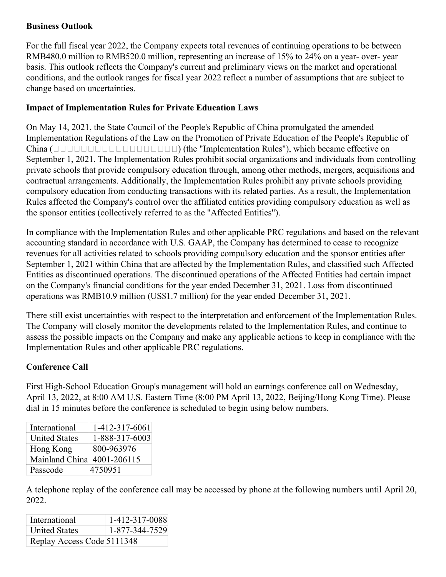#### **Business Outlook**

For the full fiscal year 2022, the Company expects total revenues of continuing operations to be between RMB480.0 million to RMB520.0 million, representing an increase of 15% to 24% on a year- over- year basis. This outlook reflects the Company's current and preliminary views on the market and operational conditions, and the outlook ranges for fiscal year 2022 reflect a number of assumptions that are subject to change based on uncertainties.

## **Impact of Implementation Rules for Private Education Laws**

On May 14, 2021, the State Council of the People's Republic of China promulgated the amended Implementation Regulations of the Law on the Promotion of Private Education of the People's Republic of China () (the "Implementation Rules"), which became effective on September 1, 2021. The Implementation Rules prohibit social organizations and individuals from controlling private schools that provide compulsory education through, among other methods, mergers, acquisitions and contractual arrangements. Additionally, the Implementation Rules prohibit any private schools providing compulsory education from conducting transactions with its related parties. As a result, the Implementation Rules affected the Company's control over the affiliated entities providing compulsory education as well as the sponsor entities (collectively referred to as the "Affected Entities").

In compliance with the Implementation Rules and other applicable PRC regulations and based on the relevant accounting standard in accordance with U.S. GAAP, the Company has determined to cease to recognize revenues for all activities related to schools providing compulsory education and the sponsor entities after September 1, 2021 within China that are affected by the Implementation Rules, and classified such Affected Entities as discontinued operations. The discontinued operations of the Affected Entities had certain impact on the Company's financial conditions for the year ended December 31, 2021. Loss from discontinued operations was RMB10.9 million (US\$1.7 million) for the year ended December 31, 2021.

There still exist uncertainties with respect to the interpretation and enforcement of the Implementation Rules. The Company will closely monitor the developments related to the Implementation Rules, and continue to assess the possible impacts on the Company and make any applicable actions to keep in compliance with the Implementation Rules and other applicable PRC regulations.

#### **Conference Call**

First High-School Education Group's management will hold an earnings conference call on Wednesday, April 13, 2022, at 8:00 AM U.S. Eastern Time (8:00 PM April 13, 2022, Beijing/Hong Kong Time). Please dial in 15 minutes before the conference is scheduled to begin using below numbers.

| International              | 1-412-317-6061 |
|----------------------------|----------------|
| <b>United States</b>       | 1-888-317-6003 |
| Hong Kong                  | 800-963976     |
| Mainland China 4001-206115 |                |
| Passcode                   | 4750951        |

A telephone replay of the conference call may be accessed by phone at the following numbers until April 20, 2022.

| International              | 1-412-317-0088 |
|----------------------------|----------------|
| <b>United States</b>       | 1-877-344-7529 |
| Replay Access Code 5111348 |                |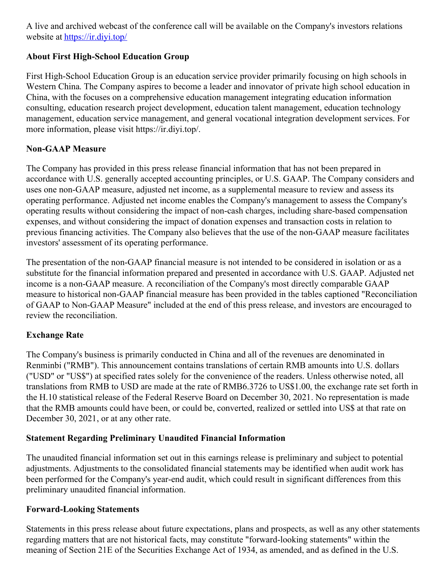A live and archived webcast of the conference call will be available on the Company's investors relations website at <https://ir.diyi.top/>

## **About First High-School Education Group**

First High-School Education Group is an education service provider primarily focusing on high schools in Western China. The Company aspires to become a leader and innovator of private high school education in China, with the focuses on a comprehensive education management integrating education information consulting, education research project development, education talent management, education technology management, education service management, and general vocational integration development services. For more information, please visit https://ir.diyi.top/.

#### **Non-GAAP Measure**

The Company has provided in this press release financial information that has not been prepared in accordance with U.S. generally accepted accounting principles, or U.S. GAAP. The Company considers and uses one non-GAAP measure, adjusted net income, as a supplemental measure to review and assess its operating performance. Adjusted net income enables the Company's management to assess the Company's operating results without considering the impact of non-cash charges, including share-based compensation expenses, and without considering the impact of donation expenses and transaction costs in relation to previous financing activities. The Company also believes that the use of the non-GAAP measure facilitates investors' assessment of its operating performance.

The presentation of the non-GAAP financial measure is not intended to be considered in isolation or as a substitute for the financial information prepared and presented in accordance with U.S. GAAP. Adjusted net income is a non-GAAP measure. A reconciliation of the Company's most directly comparable GAAP measure to historical non-GAAP financial measure has been provided in the tables captioned "Reconciliation of GAAP to Non-GAAP Measure" included at the end of this press release, and investors are encouraged to review the reconciliation.

#### **Exchange Rate**

The Company's business is primarily conducted in China and all of the revenues are denominated in Renminbi ("RMB"). This announcement contains translations of certain RMB amounts into U.S. dollars ("USD" or "US\$") at specified rates solely for the convenience of the readers. Unless otherwise noted, all translations from RMB to USD are made at the rate of RMB6.3726 to US\$1.00, the exchange rate set forth in the H.10 statistical release of the Federal Reserve Board on December 30, 2021. No representation is made that the RMB amounts could have been, or could be, converted, realized or settled into US\$ at that rate on December 30, 2021, or at any other rate.

#### **Statement Regarding Preliminary Unaudited Financial Information**

The unaudited financial information set out in this earnings release is preliminary and subject to potential adjustments. Adjustments to the consolidated financial statements may be identified when audit work has been performed for the Company's year-end audit, which could result in significant differences from this preliminary unaudited financial information.

#### **Forward-Looking Statements**

Statements in this press release about future expectations, plans and prospects, as well as any other statements regarding matters that are not historical facts, may constitute "forward-looking statements" within the meaning of Section 21E of the Securities Exchange Act of 1934, as amended, and as defined in the U.S.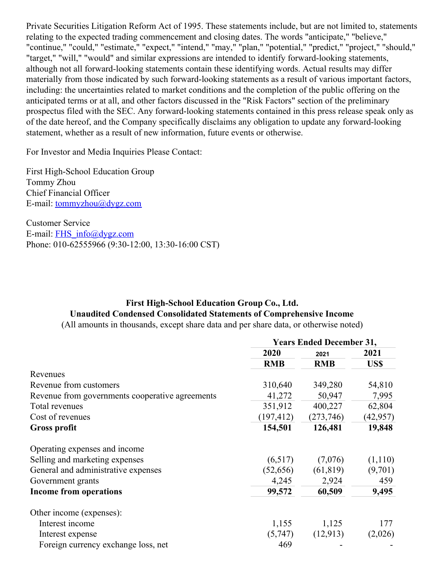Private Securities Litigation Reform Act of 1995. These statements include, but are not limited to, statements relating to the expected trading commencement and closing dates. The words "anticipate," "believe," "continue," "could," "estimate," "expect," "intend," "may," "plan," "potential," "predict," "project," "should," "target," "will," "would" and similar expressions are intended to identify forward-looking statements, although not all forward-looking statements contain these identifying words. Actual results may differ materially from those indicated by such forward-looking statements as a result of various important factors, including: the uncertainties related to market conditions and the completion of the public offering on the anticipated terms or at all, and other factors discussed in the "Risk Factors" section of the preliminary prospectus filed with the SEC. Any forward-looking statements contained in this press release speak only as of the date hereof, and the Company specifically disclaims any obligation to update any forward-looking statement, whether as a result of new information, future events or otherwise.

For Investor and Media Inquiries Please Contact:

First High-School Education Group Tommy Zhou Chief Financial Officer E-mail: [tommyzhou@dygz.com](mailto:tommyzhou@dygz.com)

Customer Service E-mail: [FHS\\_info@dygz.com](mailto:FHS_info@dygz.com) Phone: 010-62555966 (9:30-12:00, 13:30-16:00 CST)

## **First High-School Education Group Co., Ltd. Unaudited Condensed Consolidated Statements of Comprehensive Income**

(All amounts in thousands, except share data and per share data, or otherwise noted)

|                                                 | <b>Years Ended December 31,</b> |            |              |
|-------------------------------------------------|---------------------------------|------------|--------------|
|                                                 | 2020                            | 2021       | 2021<br>US\$ |
|                                                 | <b>RMB</b>                      | <b>RMB</b> |              |
| Revenues                                        |                                 |            |              |
| Revenue from customers                          | 310,640                         | 349,280    | 54,810       |
| Revenue from governments cooperative agreements | 41,272                          | 50,947     | 7,995        |
| Total revenues                                  | 351,912                         | 400,227    | 62,804       |
| Cost of revenues                                | (197, 412)                      | (273, 746) | (42, 957)    |
| Gross profit                                    | 154,501                         | 126,481    | 19,848       |
| Operating expenses and income                   |                                 |            |              |
| Selling and marketing expenses                  | (6,517)                         | (7,076)    | (1,110)      |
| General and administrative expenses             | (52, 656)                       | (61, 819)  | (9,701)      |
| Government grants                               | 4,245                           | 2,924      | 459          |
| <b>Income from operations</b>                   | 99,572                          | 60,509     | 9,495        |
| Other income (expenses):                        |                                 |            |              |
| Interest income                                 | 1,155                           | 1,125      | 177          |
| Interest expense                                | (5,747)                         | (12,913)   | (2,026)      |
| Foreign currency exchange loss, net             | 469                             |            |              |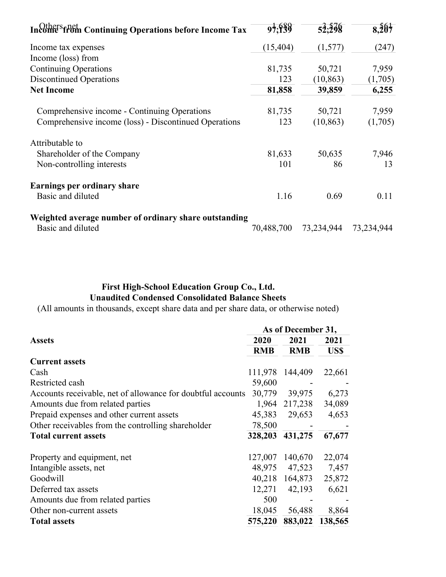| Income from Continuing Operations before Income Tax   | 97.939     | 52.298     | 8,207      |
|-------------------------------------------------------|------------|------------|------------|
| Income tax expenses                                   | (15, 404)  | (1,577)    | (247)      |
| Income (loss) from                                    |            |            |            |
| <b>Continuing Operations</b>                          | 81,735     | 50,721     | 7,959      |
| <b>Discontinued Operations</b>                        | 123        | (10, 863)  | (1,705)    |
| <b>Net Income</b>                                     | 81,858     | 39,859     | 6,255      |
| Comprehensive income - Continuing Operations          | 81,735     | 50,721     | 7,959      |
| Comprehensive income (loss) - Discontinued Operations | 123        | (10, 863)  | (1,705)    |
| Attributable to                                       |            |            |            |
| Shareholder of the Company                            | 81,633     | 50,635     | 7,946      |
| Non-controlling interests                             | 101        | 86         | 13         |
| Earnings per ordinary share                           |            |            |            |
| Basic and diluted                                     | 1.16       | 0.69       | 0.11       |
| Weighted average number of ordinary share outstanding |            |            |            |
| Basic and diluted                                     | 70,488,700 | 73,234,944 | 73,234,944 |

## **First High-School Education Group Co., Ltd. Unaudited Condensed Consolidated Balance Sheets**

(All amounts in thousands, except share data and per share data, or otherwise noted)

|                                                             | As of December 31, |            |         |  |
|-------------------------------------------------------------|--------------------|------------|---------|--|
| <b>Assets</b>                                               | 2020               | 2021       | 2021    |  |
|                                                             | <b>RMB</b>         | <b>RMB</b> | US\$    |  |
| <b>Current assets</b>                                       |                    |            |         |  |
| Cash                                                        | 111,978            | 144,409    | 22,661  |  |
| Restricted cash                                             | 59,600             |            |         |  |
| Accounts receivable, net of allowance for doubtful accounts | 30,779             | 39,975     | 6,273   |  |
| Amounts due from related parties                            | 1,964              | 217,238    | 34,089  |  |
| Prepaid expenses and other current assets                   | 45,383             | 29,653     | 4,653   |  |
| Other receivables from the controlling shareholder          | 78,500             |            |         |  |
| <b>Total current assets</b>                                 | 328,203            | 431,275    | 67,677  |  |
| Property and equipment, net                                 | 127,007            | 140,670    | 22,074  |  |
| Intangible assets, net                                      | 48,975             | 47,523     | 7,457   |  |
| Goodwill                                                    | 40,218             | 164,873    | 25,872  |  |
| Deferred tax assets                                         | 12,271             | 42,193     | 6,621   |  |
| Amounts due from related parties                            | 500                |            |         |  |
| Other non-current assets                                    | 18,045             | 56,488     | 8,864   |  |
| <b>Total assets</b>                                         | 575,220            | 883,022    | 138,565 |  |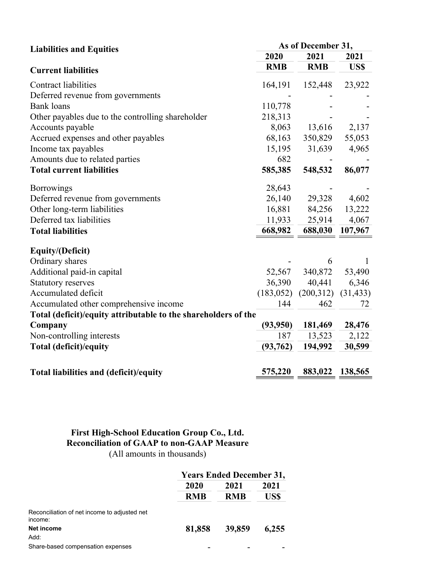| <b>Liabilities and Equities</b>                                | As of December 31, |            |              |  |
|----------------------------------------------------------------|--------------------|------------|--------------|--|
|                                                                | 2020               | 2021       | 2021         |  |
| <b>Current liabilities</b>                                     | <b>RMB</b>         | <b>RMB</b> | US\$         |  |
| <b>Contract liabilities</b>                                    | 164,191            | 152,448    | 23,922       |  |
| Deferred revenue from governments                              |                    |            |              |  |
| <b>Bank</b> loans                                              | 110,778            |            |              |  |
| Other payables due to the controlling shareholder              | 218,313            |            |              |  |
| Accounts payable                                               | 8,063              | 13,616     | 2,137        |  |
| Accrued expenses and other payables                            | 68,163             | 350,829    | 55,053       |  |
| Income tax payables                                            | 15,195             | 31,639     | 4,965        |  |
| Amounts due to related parties                                 | 682                |            |              |  |
| <b>Total current liabilities</b>                               | 585,385            | 548,532    | 86,077       |  |
| <b>Borrowings</b>                                              | 28,643             |            |              |  |
| Deferred revenue from governments                              | 26,140             | 29,328     | 4,602        |  |
| Other long-term liabilities                                    | 16,881             | 84,256     | 13,222       |  |
| Deferred tax liabilities                                       | 11,933             | 25,914     | 4,067        |  |
| <b>Total liabilities</b>                                       | 668,982            | 688,030    | 107,967      |  |
| <b>Equity/(Deficit)</b>                                        |                    |            |              |  |
| Ordinary shares                                                |                    | 6          | $\mathbf{1}$ |  |
| Additional paid-in capital                                     | 52,567             | 340,872    | 53,490       |  |
| <b>Statutory reserves</b>                                      | 36,390             | 40,441     | 6,346        |  |
| Accumulated deficit                                            | (183, 052)         | (200,312)  | (31, 433)    |  |
| Accumulated other comprehensive income                         | 144                | 462        | 72           |  |
| Total (deficit)/equity attributable to the shareholders of the |                    |            |              |  |
| Company                                                        | (93, 950)          | 181,469    | 28,476       |  |
| Non-controlling interests                                      | 187                | 13,523     | 2,122        |  |
| <b>Total (deficit)/equity</b>                                  | (93,762)           | 194,992    | 30,599       |  |
| Total liabilities and (deficit)/equity                         | 575,220            | 883,022    | 138,565      |  |

### **First High-School Education Group Co., Ltd. Reconciliation of GAAP to non-GAAP Measure** (All amounts in thousands)

|                                                         | <b>Years Ended December 31,</b> |                    |              |  |
|---------------------------------------------------------|---------------------------------|--------------------|--------------|--|
|                                                         | 2020<br><b>RMB</b>              | 2021<br><b>RMB</b> | 2021<br>US\$ |  |
|                                                         |                                 |                    |              |  |
| Reconciliation of net income to adjusted net<br>income: |                                 |                    |              |  |
| <b>Net income</b><br>Add:                               | 81,858                          | 39,859             | 6,255        |  |
| Share-based compensation expenses                       |                                 |                    |              |  |